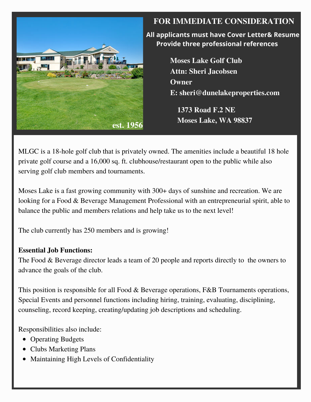

# **FOR IMMEDIATE CONSIDERATION**

 **All applicants must have Cover Letter& Resume Provide three professional references**

> **Moses Lake Golf Club Attn: Sheri Jacobsen Owner E: sheri@dunelakeproperties.com**

**1373 Road F.2 NE Moses Lake, WA 98837**

MLGC is a 18-hole golf club that is privately owned. The amenities include a beautiful 18 hole private golf course and a 16,000 sq. ft. clubhouse/restaurant open to the public while also serving golf club members and tournaments.

Moses Lake is a fast growing community with 300+ days of sunshine and recreation. We are looking for a Food & Beverage Management Professional with an entrepreneurial spirit, able to balance the public and members relations and help take us to the next level!

The club currently has 250 members and is growing!

## **Essential Job Functions:**

The Food & Beverage director leads a team of 20 people and reports directly to the owners to advance the goals of the club.

This position is responsible for all Food & Beverage operations, F&B Tournaments operations, Special Events and personnel functions including hiring, training, evaluating, disciplining, counseling, record keeping, creating/updating job descriptions and scheduling.

Responsibilities also include:

- Operating Budgets
- Clubs Marketing Plans
- Maintaining High Levels of Confidentiality